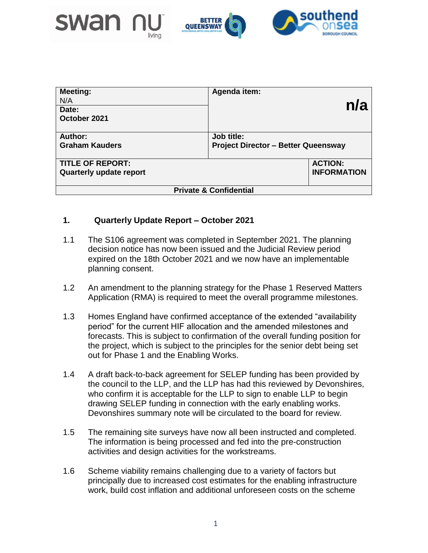



| <b>Meeting:</b><br>N/A<br>Date:<br>October 2021 | Agenda item:<br>n/a                        |
|-------------------------------------------------|--------------------------------------------|
| Author:                                         | Job title:                                 |
| <b>Graham Kauders</b>                           | <b>Project Director - Better Queensway</b> |
| <b>TITLE OF REPORT:</b>                         | <b>ACTION:</b>                             |
| <b>Quarterly update report</b>                  | <b>INFORMATION</b>                         |
| <b>Private &amp; Confidential</b>               |                                            |

## **1. Quarterly Update Report – October 2021**

- 1.1 The S106 agreement was completed in September 2021. The planning decision notice has now been issued and the Judicial Review period expired on the 18th October 2021 and we now have an implementable planning consent.
- 1.2 An amendment to the planning strategy for the Phase 1 Reserved Matters Application (RMA) is required to meet the overall programme milestones.
- 1.3 Homes England have confirmed acceptance of the extended "availability period" for the current HIF allocation and the amended milestones and forecasts. This is subject to confirmation of the overall funding position for the project, which is subject to the principles for the senior debt being set out for Phase 1 and the Enabling Works.
- 1.4 A draft back-to-back agreement for SELEP funding has been provided by the council to the LLP, and the LLP has had this reviewed by Devonshires, who confirm it is acceptable for the LLP to sign to enable LLP to begin drawing SELEP funding in connection with the early enabling works. Devonshires summary note will be circulated to the board for review.
- 1.5 The remaining site surveys have now all been instructed and completed. The information is being processed and fed into the pre-construction activities and design activities for the workstreams.
- 1.6 Scheme viability remains challenging due to a variety of factors but principally due to increased cost estimates for the enabling infrastructure work, build cost inflation and additional unforeseen costs on the scheme